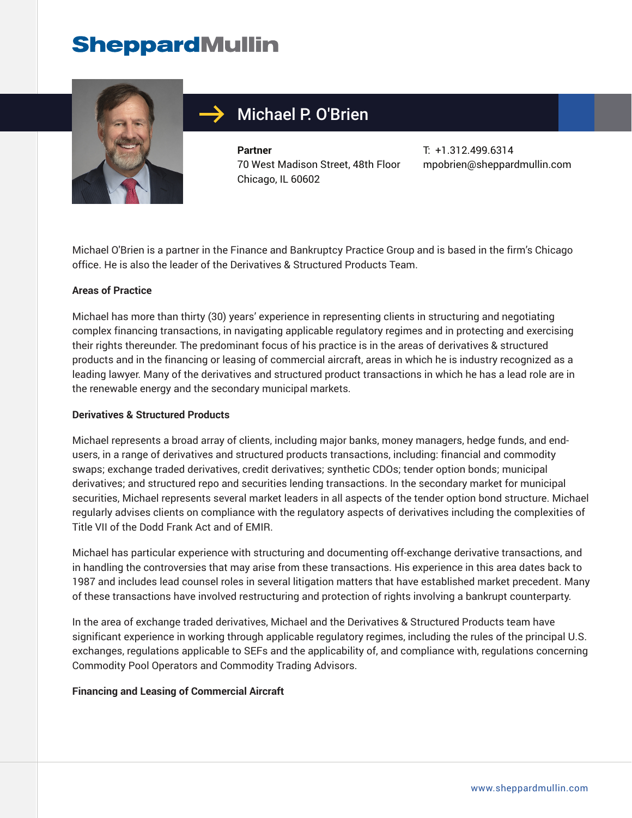# **SheppardMullin**



## Michael P. O'Brien

**Partner** 70 West Madison Street, 48th Floor Chicago, IL 60602

T: +1.312.499.6314 mpobrien@sheppardmullin.com

Michael O'Brien is a partner in the Finance and Bankruptcy Practice Group and is based in the firm's Chicago office. He is also the leader of the Derivatives & Structured Products Team.

#### **Areas of Practice**

Michael has more than thirty (30) years' experience in representing clients in structuring and negotiating complex financing transactions, in navigating applicable regulatory regimes and in protecting and exercising their rights thereunder. The predominant focus of his practice is in the areas of derivatives & structured products and in the financing or leasing of commercial aircraft, areas in which he is industry recognized as a leading lawyer. Many of the derivatives and structured product transactions in which he has a lead role are in the renewable energy and the secondary municipal markets.

#### **Derivatives & Structured Products**

Michael represents a broad array of clients, including major banks, money managers, hedge funds, and endusers, in a range of derivatives and structured products transactions, including: financial and commodity swaps; exchange traded derivatives, credit derivatives; synthetic CDOs; tender option bonds; municipal derivatives; and structured repo and securities lending transactions. In the secondary market for municipal securities, Michael represents several market leaders in all aspects of the tender option bond structure. Michael regularly advises clients on compliance with the regulatory aspects of derivatives including the complexities of Title VII of the Dodd Frank Act and of EMIR.

Michael has particular experience with structuring and documenting off-exchange derivative transactions, and in handling the controversies that may arise from these transactions. His experience in this area dates back to 1987 and includes lead counsel roles in several litigation matters that have established market precedent. Many of these transactions have involved restructuring and protection of rights involving a bankrupt counterparty.

In the area of exchange traded derivatives, Michael and the Derivatives & Structured Products team have significant experience in working through applicable regulatory regimes, including the rules of the principal U.S. exchanges, regulations applicable to SEFs and the applicability of, and compliance with, regulations concerning Commodity Pool Operators and Commodity Trading Advisors.

#### **Financing and Leasing of Commercial Aircraft**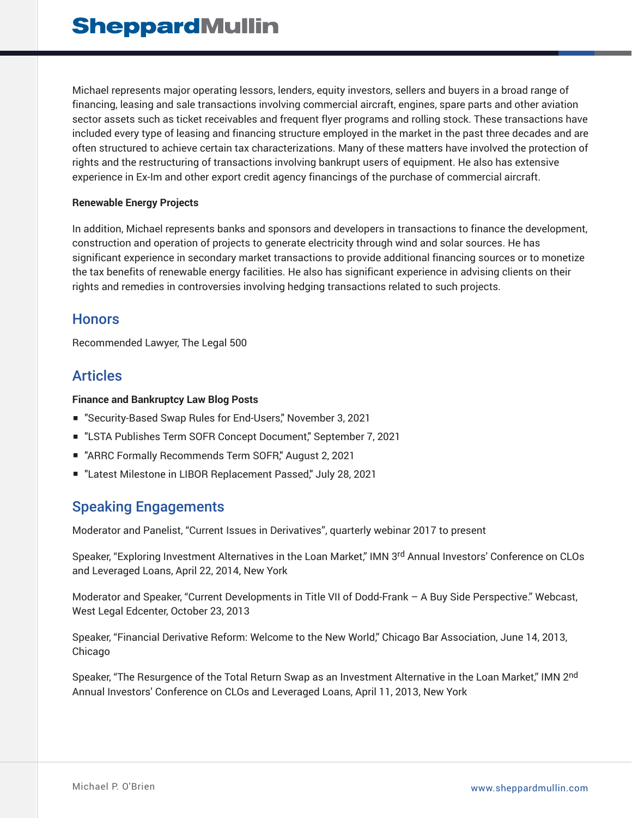Michael represents major operating lessors, lenders, equity investors, sellers and buyers in a broad range of financing, leasing and sale transactions involving commercial aircraft, engines, spare parts and other aviation sector assets such as ticket receivables and frequent flyer programs and rolling stock. These transactions have included every type of leasing and financing structure employed in the market in the past three decades and are often structured to achieve certain tax characterizations. Many of these matters have involved the protection of rights and the restructuring of transactions involving bankrupt users of equipment. He also has extensive experience in Ex-Im and other export credit agency financings of the purchase of commercial aircraft.

#### **Renewable Energy Projects**

In addition, Michael represents banks and sponsors and developers in transactions to finance the development, construction and operation of projects to generate electricity through wind and solar sources. He has significant experience in secondary market transactions to provide additional financing sources or to monetize the tax benefits of renewable energy facilities. He also has significant experience in advising clients on their rights and remedies in controversies involving hedging transactions related to such projects.

#### **Honors**

Recommended Lawyer, The Legal 500

#### Articles

#### **Finance and Bankruptcy Law Blog Posts**

- "Security-Based Swap Rules for End-Users," November 3, 2021
- "LSTA Publishes Term SOFR Concept Document," September 7, 2021
- "ARRC Formally Recommends Term SOFR," August 2, 2021
- "Latest Milestone in LIBOR Replacement Passed," July 28, 2021

### Speaking Engagements

Moderator and Panelist, "Current Issues in Derivatives", quarterly webinar 2017 to present

Speaker, "Exploring Investment Alternatives in the Loan Market," IMN 3rd Annual Investors' Conference on CLOs and Leveraged Loans, April 22, 2014, New York

Moderator and Speaker, "Current Developments in Title VII of Dodd-Frank – A Buy Side Perspective." Webcast, West Legal Edcenter, October 23, 2013

Speaker, "Financial Derivative Reform: Welcome to the New World," Chicago Bar Association, June 14, 2013, Chicago

Speaker, "The Resurgence of the Total Return Swap as an Investment Alternative in the Loan Market," IMN 2<sup>nd</sup> Annual Investors' Conference on CLOs and Leveraged Loans, April 11, 2013, New York